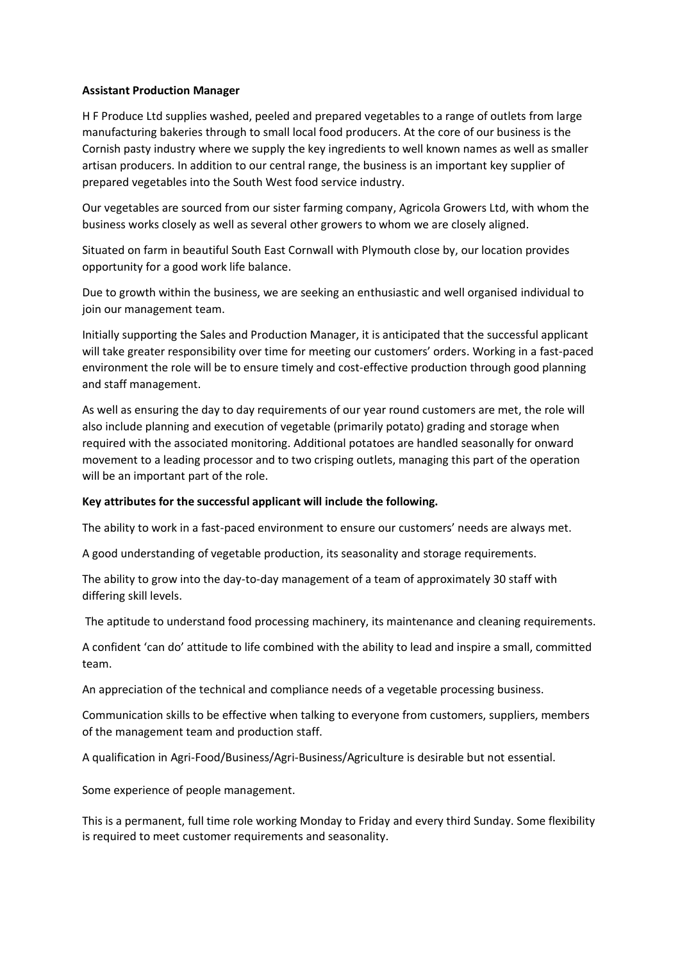## **Assistant Production Manager**

H F Produce Ltd supplies washed, peeled and prepared vegetables to a range of outlets from large manufacturing bakeries through to small local food producers. At the core of our business is the Cornish pasty industry where we supply the key ingredients to well known names as well as smaller artisan producers. In addition to our central range, the business is an important key supplier of prepared vegetables into the South West food service industry.

Our vegetables are sourced from our sister farming company, Agricola Growers Ltd, with whom the business works closely as well as several other growers to whom we are closely aligned.

Situated on farm in beautiful South East Cornwall with Plymouth close by, our location provides opportunity for a good work life balance.

Due to growth within the business, we are seeking an enthusiastic and well organised individual to join our management team.

Initially supporting the Sales and Production Manager, it is anticipated that the successful applicant will take greater responsibility over time for meeting our customers' orders. Working in a fast-paced environment the role will be to ensure timely and cost-effective production through good planning and staff management.

As well as ensuring the day to day requirements of our year round customers are met, the role will also include planning and execution of vegetable (primarily potato) grading and storage when required with the associated monitoring. Additional potatoes are handled seasonally for onward movement to a leading processor and to two crisping outlets, managing this part of the operation will be an important part of the role.

## **Key attributes for the successful applicant will include the following.**

The ability to work in a fast-paced environment to ensure our customers' needs are always met.

A good understanding of vegetable production, its seasonality and storage requirements.

The ability to grow into the day-to-day management of a team of approximately 30 staff with differing skill levels.

The aptitude to understand food processing machinery, its maintenance and cleaning requirements.

A confident 'can do' attitude to life combined with the ability to lead and inspire a small, committed team.

An appreciation of the technical and compliance needs of a vegetable processing business.

Communication skills to be effective when talking to everyone from customers, suppliers, members of the management team and production staff.

A qualification in Agri-Food/Business/Agri-Business/Agriculture is desirable but not essential.

Some experience of people management.

This is a permanent, full time role working Monday to Friday and every third Sunday. Some flexibility is required to meet customer requirements and seasonality.